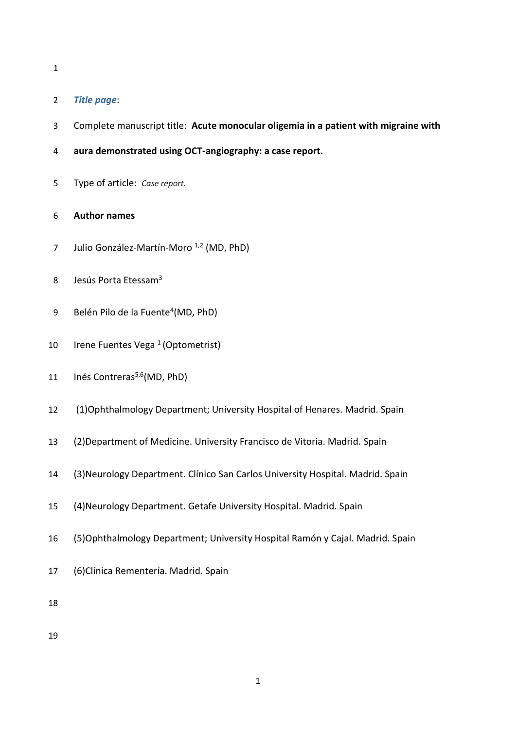### *Title page*:

- Complete manuscript title: **Acute monocular oligemia in a patient with migraine with**
- **aura demonstrated using OCT-angiography: a case report.**
- Type of article: *Case report.*

### **Author names**

- 7 Julio González-Martín-Moro<sup>1,2</sup> (MD, PhD)
- 8 Jesús Porta Etessam<sup>3</sup>
- 9 Belén Pilo de la Fuente<sup>4</sup> (MD, PhD)
- 10 Irene Fuentes Vega (Optometrist)
- 11 Inés Contreras<sup>5,6</sup> (MD, PhD)
- (1)Ophthalmology Department; University Hospital of Henares. Madrid. Spain
- (2)Department of Medicine. University Francisco de Vitoria. Madrid. Spain
- (3)Neurology Department. Clínico San Carlos University Hospital. Madrid. Spain
- (4)Neurology Department. Getafe University Hospital. Madrid. Spain
- (5)Ophthalmology Department; University Hospital Ramón y Cajal. Madrid. Spain
- (6)Clínica Rementería. Madrid. Spain
-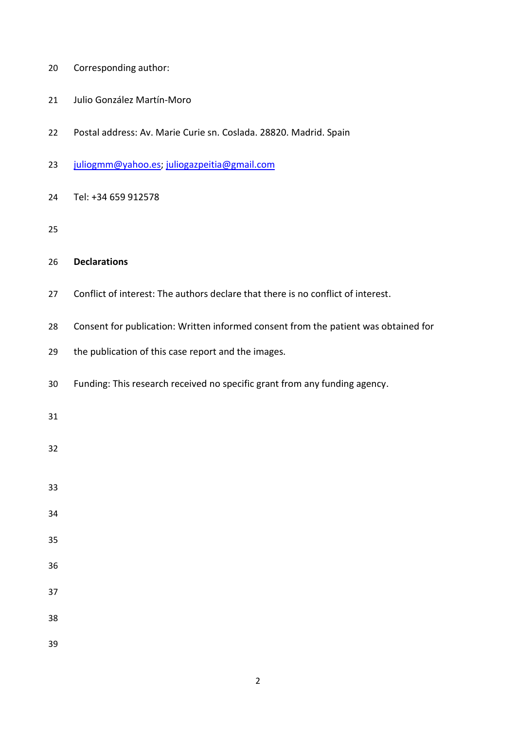- Corresponding author:
- Julio González Martín-Moro
- Postal address: Av. Marie Curie sn. Coslada. 28820. Madrid. Spain
- [juliogmm@yahoo.es;](mailto:juliogmm@yahoo.es) [juliogazpeitia@gmail.com](mailto:juliogazpeitia@gmail.com)
- Tel: +34 659 912578

## **Declarations**

- Conflict of interest: The authors declare that there is no conflict of interest.
- Consent for publication: Written informed consent from the patient was obtained for
- the publication of this case report and the images.
- Funding: This research received no specific grant from any funding agency.

- 
- 
- 

- 
- 
- 
- 
- 
-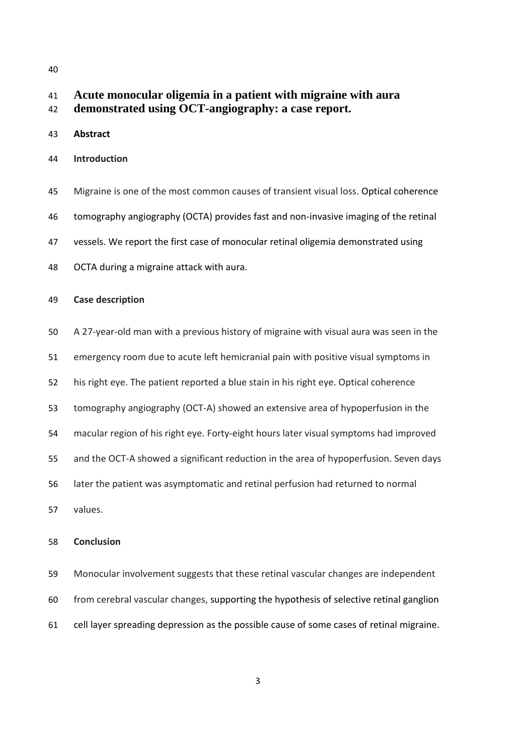# **Acute monocular oligemia in a patient with migraine with aura**

- **demonstrated using OCT-angiography: a case report.**
- **Abstract**
- **Introduction**
- Migraine is one of the most common causes of transient visual loss. Optical coherence tomography angiography (OCTA) provides fast and non-invasive imaging of the retinal
- vessels. We report the first case of monocular retinal oligemia demonstrated using
- OCTA during a migraine attack with aura.

#### **Case description**

- A 27-year-old man with a previous history of migraine with visual aura was seen in the
- emergency room due to acute left hemicranial pain with positive visual symptoms in
- his right eye. The patient reported a blue stain in his right eye. Optical coherence
- tomography angiography (OCT-A) showed an extensive area of hypoperfusion in the
- macular region of his right eye. Forty-eight hours later visual symptoms had improved
- and the OCT-A showed a significant reduction in the area of hypoperfusion. Seven days
- later the patient was asymptomatic and retinal perfusion had returned to normal
- values.

#### **Conclusion**

 Monocular involvement suggests that these retinal vascular changes are independent from cerebral vascular changes, supporting the hypothesis of selective retinal ganglion cell layer spreading depression as the possible cause of some cases of retinal migraine.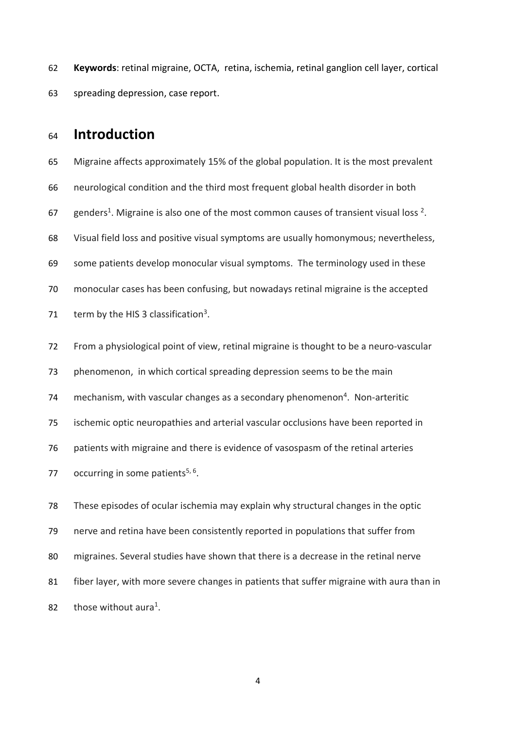**Keywords**: retinal migraine, OCTA, retina, ischemia, retinal ganglion cell layer, cortical spreading depression, case report.

# **Introduction**

 Migraine affects approximately 15% of the global population. It is the most prevalent neurological condition and the third most frequent global health disorder in both 67 genders<sup>1</sup>. Migraine is also one of the most common causes of transient visual loss  $2$ . Visual field loss and positive visual symptoms are usually homonymous; nevertheless, some patients develop monocular visual symptoms. The terminology used in these monocular cases has been confusing, but nowadays retinal migraine is the accepted  $\text{term}$  by the HIS 3 classification<sup>3</sup>.

 From a physiological point of view, retinal migraine is thought to be a neuro-vascular phenomenon, in which cortical spreading depression seems to be the main 74 mechanism, with vascular changes as a secondary phenomenon<sup>4</sup>. Non-arteritic ischemic optic neuropathies and arterial vascular occlusions have been reported in patients with migraine and there is evidence of vasospasm of the retinal arteries 77 occurring in some patients<sup>5, 6</sup>.

 These episodes of ocular ischemia may explain why structural changes in the optic nerve and retina have been consistently reported in populations that suffer from migraines. Several studies have shown that there is a decrease in the retinal nerve fiber layer, with more severe changes in patients that suffer migraine with aura than in 82 those without aura<sup>1</sup>.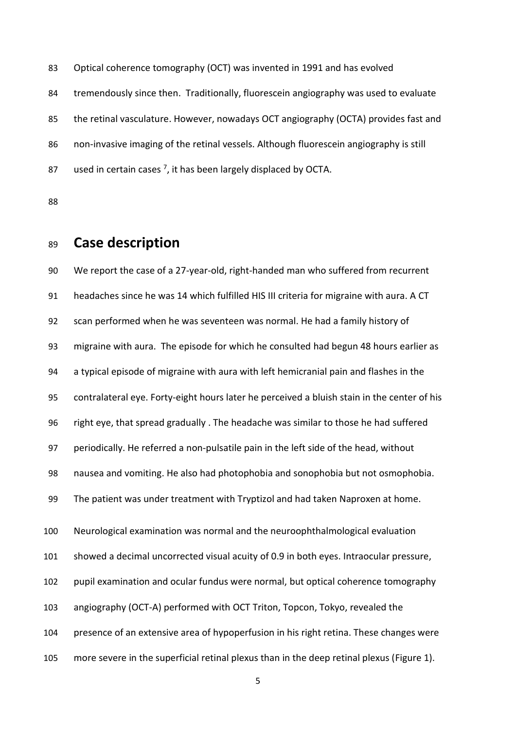Optical coherence tomography (OCT) was invented in 1991 and has evolved tremendously since then. Traditionally, fluorescein angiography was used to evaluate the retinal vasculature. However, nowadays OCT angiography (OCTA) provides fast and non-invasive imaging of the retinal vessels. Although fluorescein angiography is still 87 used in certain cases  $^7$ , it has been largely displaced by OCTA.

# **Case description**

 We report the case of a 27-year-old, right-handed man who suffered from recurrent headaches since he was 14 which fulfilled HIS III criteria for migraine with aura. A CT scan performed when he was seventeen was normal. He had a family history of migraine with aura. The episode for which he consulted had begun 48 hours earlier as a typical episode of migraine with aura with left hemicranial pain and flashes in the contralateral eye. Forty-eight hours later he perceived a bluish stain in the center of his right eye, that spread gradually . The headache was similar to those he had suffered periodically. He referred a non-pulsatile pain in the left side of the head, without nausea and vomiting. He also had photophobia and sonophobia but not osmophobia. The patient was under treatment with Tryptizol and had taken Naproxen at home. Neurological examination was normal and the neuroophthalmological evaluation showed a decimal uncorrected visual acuity of 0.9 in both eyes. Intraocular pressure, pupil examination and ocular fundus were normal, but optical coherence tomography angiography (OCT-A) performed with OCT Triton, Topcon, Tokyo, revealed the presence of an extensive area of hypoperfusion in his right retina. These changes were more severe in the superficial retinal plexus than in the deep retinal plexus (Figure 1).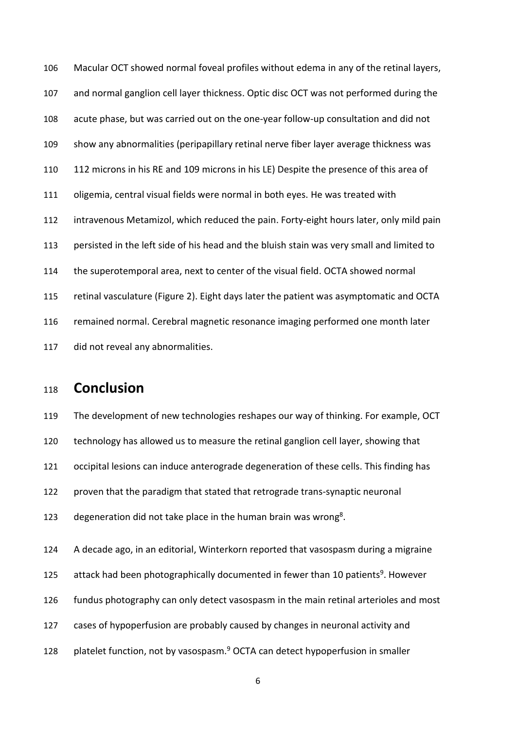Macular OCT showed normal foveal profiles without edema in any of the retinal layers, and normal ganglion cell layer thickness. Optic disc OCT was not performed during the acute phase, but was carried out on the one-year follow-up consultation and did not show any abnormalities (peripapillary retinal nerve fiber layer average thickness was 112 microns in his RE and 109 microns in his LE) Despite the presence of this area of oligemia, central visual fields were normal in both eyes. He was treated with intravenous Metamizol, which reduced the pain. Forty-eight hours later, only mild pain persisted in the left side of his head and the bluish stain was very small and limited to the superotemporal area, next to center of the visual field. OCTA showed normal retinal vasculature (Figure 2). Eight days later the patient was asymptomatic and OCTA remained normal. Cerebral magnetic resonance imaging performed one month later did not reveal any abnormalities.

# **Conclusion**

 The development of new technologies reshapes our way of thinking. For example, OCT technology has allowed us to measure the retinal ganglion cell layer, showing that occipital lesions can induce anterograde degeneration of these cells. This finding has proven that the paradigm that stated that retrograde trans-synaptic neuronal 123 degeneration did not take place in the human brain was wrong<sup>8</sup>.

 A decade ago, in an editorial, Winterkorn reported that vasospasm during a migraine attack had been photographically documented in fewer than 10 patients<sup>9</sup>. However fundus photography can only detect vasospasm in the main retinal arterioles and most cases of hypoperfusion are probably caused by changes in neuronal activity and 128 platelet function, not by vasospasm.<sup>9</sup> OCTA can detect hypoperfusion in smaller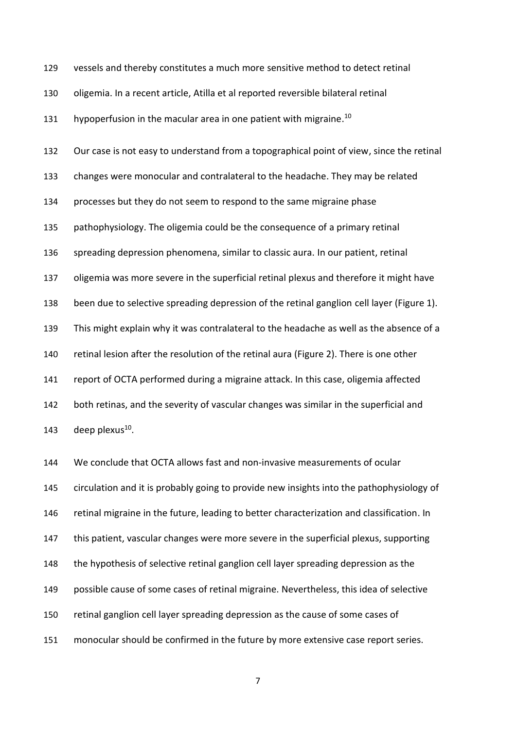| 129 | vessels and thereby constitutes a much more sensitive method to detect retinal            |
|-----|-------------------------------------------------------------------------------------------|
| 130 | oligemia. In a recent article, Atilla et al reported reversible bilateral retinal         |
| 131 | hypoperfusion in the macular area in one patient with migraine. <sup>10</sup>             |
| 132 | Our case is not easy to understand from a topographical point of view, since the retinal  |
| 133 | changes were monocular and contralateral to the headache. They may be related             |
| 134 | processes but they do not seem to respond to the same migraine phase                      |
| 135 | pathophysiology. The oligemia could be the consequence of a primary retinal               |
| 136 | spreading depression phenomena, similar to classic aura. In our patient, retinal          |
| 137 | oligemia was more severe in the superficial retinal plexus and therefore it might have    |
| 138 | been due to selective spreading depression of the retinal ganglion cell layer (Figure 1). |
| 139 | This might explain why it was contralateral to the headache as well as the absence of a   |
| 140 | retinal lesion after the resolution of the retinal aura (Figure 2). There is one other    |
| 141 | report of OCTA performed during a migraine attack. In this case, oligemia affected        |
| 142 | both retinas, and the severity of vascular changes was similar in the superficial and     |
| 143 | deep plexus <sup>10</sup> .                                                               |
| 144 | We conclude that OCTA allows fast and non-invasive measurements of ocular                 |

 circulation and it is probably going to provide new insights into the pathophysiology of retinal migraine in the future, leading to better characterization and classification. In this patient, vascular changes were more severe in the superficial plexus, supporting the hypothesis of selective retinal ganglion cell layer spreading depression as the possible cause of some cases of retinal migraine. Nevertheless, this idea of selective retinal ganglion cell layer spreading depression as the cause of some cases of monocular should be confirmed in the future by more extensive case report series.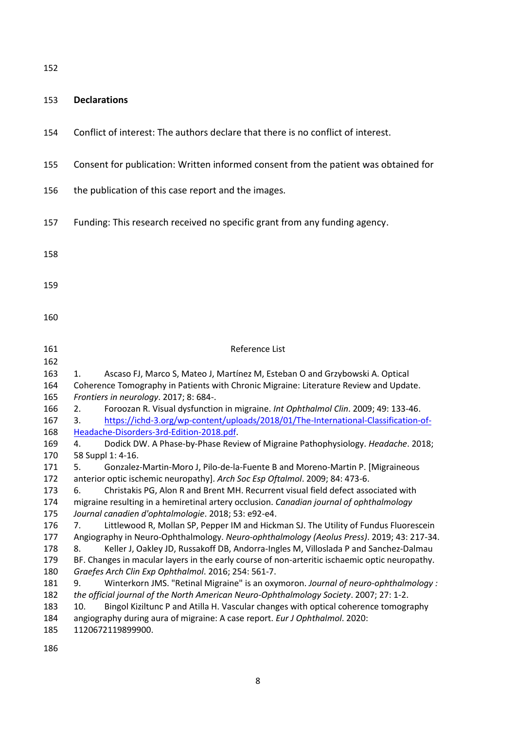### **Declarations**

- Conflict of interest: The authors declare that there is no conflict of interest.
- Consent for publication: Written informed consent from the patient was obtained for
- the publication of this case report and the images.
- Funding: This research received no specific grant from any funding agency.
- 
- 
- 

- 161 Reference List
- 1. Ascaso FJ, Marco S, Mateo J, Martínez M, Esteban O and Grzybowski A. Optical Coherence Tomography in Patients with Chronic Migraine: Literature Review and Update. *Frontiers in neurology*. 2017; 8: 684-. 2. Foroozan R. Visual dysfunction in migraine. *Int Ophthalmol Clin*. 2009; 49: 133-46. 167 3. [https://ichd-3.org/wp-content/uploads/2018/01/The-International-Classification-of-](https://ichd-3.org/wp-content/uploads/2018/01/The-International-Classification-of-Headache-Disorders-3rd-Edition-2018.pdf) [Headache-Disorders-3rd-Edition-2018.pdf.](https://ichd-3.org/wp-content/uploads/2018/01/The-International-Classification-of-Headache-Disorders-3rd-Edition-2018.pdf) 4. Dodick DW. A Phase-by-Phase Review of Migraine Pathophysiology. *Headache*. 2018; 58 Suppl 1: 4-16. 5. Gonzalez-Martin-Moro J, Pilo-de-la-Fuente B and Moreno-Martin P. [Migraineous anterior optic ischemic neuropathy]. *Arch Soc Esp Oftalmol*. 2009; 84: 473-6. 6. Christakis PG, Alon R and Brent MH. Recurrent visual field defect associated with migraine resulting in a hemiretinal artery occlusion. *Canadian journal of ophthalmology Journal canadien d'ophtalmologie*. 2018; 53: e92-e4. 7. Littlewood R, Mollan SP, Pepper IM and Hickman SJ. The Utility of Fundus Fluorescein Angiography in Neuro-Ophthalmology. *Neuro-ophthalmology (Aeolus Press)*. 2019; 43: 217-34. 8. Keller J, Oakley JD, Russakoff DB, Andorra-Ingles M, Villoslada P and Sanchez-Dalmau BF. Changes in macular layers in the early course of non-arteritic ischaemic optic neuropathy. *Graefes Arch Clin Exp Ophthalmol*. 2016; 254: 561-7. 9. Winterkorn JMS. "Retinal Migraine" is an oxymoron. *Journal of neuro-ophthalmology : the official journal of the North American Neuro-Ophthalmology Society*. 2007; 27: 1-2. 10. Bingol Kiziltunc P and Atilla H. Vascular changes with optical coherence tomography angiography during aura of migraine: A case report. *Eur J Ophthalmol*. 2020:
- 1120672119899900.
-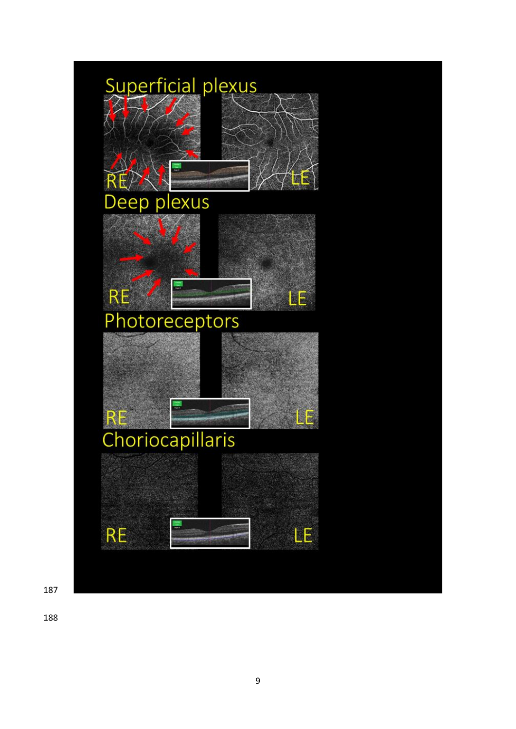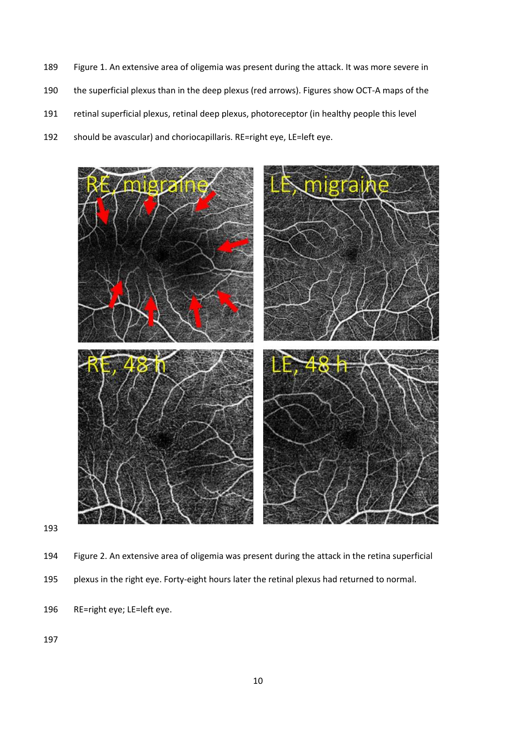- Figure 1. An extensive area of oligemia was present during the attack. It was more severe in the superficial plexus than in the deep plexus (red arrows). Figures show OCT-A maps of the
- retinal superficial plexus, retinal deep plexus, photoreceptor (in healthy people this level
- should be avascular) and choriocapillaris. RE=right eye, LE=left eye.



- Figure 2. An extensive area of oligemia was present during the attack in the retina superficial plexus in the right eye. Forty-eight hours later the retinal plexus had returned to normal.
- RE=right eye; LE=left eye.
-